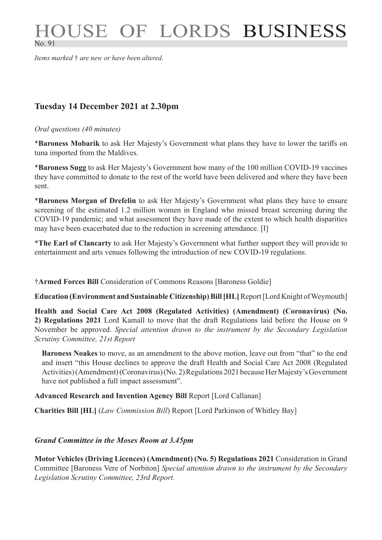# HOUSE OF LORDS BUSINESS No. 91

*Items marked* † *are new or have been altered.*

# **Tuesday 14 December 2021 at 2.30pm**

#### *Oral questions (40 minutes)*

\***Baroness Mobarik** to ask Her Majesty's Government what plans they have to lower the tariffs on tuna imported from the Maldives.

\***Baroness Sugg** to ask Her Majesty's Government how many of the 100 million COVID-19 vaccines they have committed to donate to the rest of the world have been delivered and where they have been sent.

\***Baroness Morgan of Drefelin** to ask Her Majesty's Government what plans they have to ensure screening of the estimated 1.2 million women in England who missed breast screening during the COVID-19 pandemic; and what assessment they have made of the extent to which health disparities may have been exacerbated due to the reduction in screening attendance. [I]

\***The Earl of Clancarty** to ask Her Majesty's Government what further support they will provide to entertainment and arts venues following the introduction of new COVID-19 regulations.

†**Armed Forces Bill** Consideration of Commons Reasons [Baroness Goldie]

**Education (Environment and Sustainable Citizenship) Bill [HL]** Report [Lord Knight of Weymouth]

**Health and Social Care Act 2008 (Regulated Activities) (Amendment) (Coronavirus) (No. 2) Regulations 2021** Lord Kamall to move that the draft Regulations laid before the House on 9 November be approved. *Special attention drawn to the instrument by the Secondary Legislation Scrutiny Committee, 21st Report*

**Baroness Noakes** to move, as an amendment to the above motion, leave out from "that" to the end and insert "this House declines to approve the draft Health and Social Care Act 2008 (Regulated Activities) (Amendment) (Coronavirus) (No. 2) Regulations 2021 because Her Majesty's Government have not published a full impact assessment".

## **Advanced Research and Invention Agency Bill** Report [Lord Callanan]

**Charities Bill [HL]** (*Law Commission Bill*) Report [Lord Parkinson of Whitley Bay]

## *Grand Committee in the Moses Room at 3.45pm*

**Motor Vehicles (Driving Licences) (Amendment) (No. 5) Regulations 2021** Consideration in Grand Committee [Baroness Vere of Norbiton] *Special attention drawn to the instrument by the Secondary Legislation Scrutiny Committee, 23rd Report.*